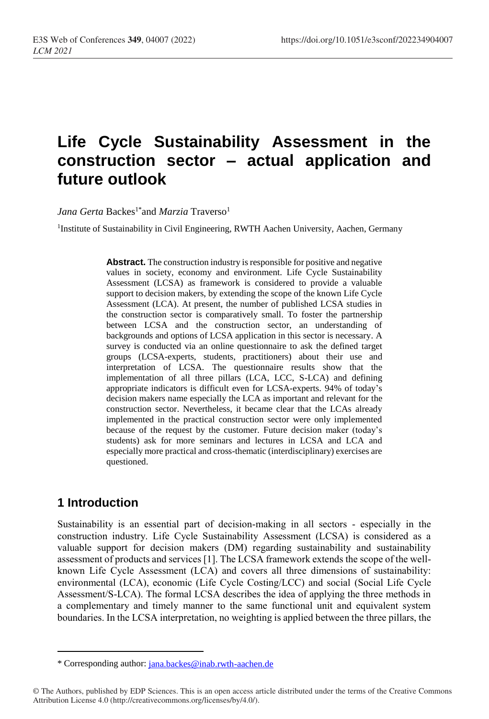# **Life Cycle Sustainability Assessment in the construction sector – actual application and future outlook**

J*ana Gerta* Backes<sup>1\*</sup>and *Marzia* Traverso<sup>1</sup>

<sup>1</sup>Institute of Sustainability in Civil Engineering, RWTH Aachen University, Aachen, Germany

**Abstract.** The construction industry is responsible for positive and negative values in society, economy and environment. Life Cycle Sustainability Assessment (LCSA) as framework is considered to provide a valuable support to decision makers, by extending the scope of the known Life Cycle Assessment (LCA). At present, the number of published LCSA studies in the construction sector is comparatively small. To foster the partnership between LCSA and the construction sector, an understanding of backgrounds and options of LCSA application in this sector is necessary. A survey is conducted via an online questionnaire to ask the defined target groups (LCSA-experts, students, practitioners) about their use and interpretation of LCSA. The questionnaire results show that the implementation of all three pillars (LCA, LCC, S-LCA) and defining appropriate indicators is difficult even for LCSA-experts. 94% of today's decision makers name especially the LCA as important and relevant for the construction sector. Nevertheless, it became clear that the LCAs already implemented in the practical construction sector were only implemented because of the request by the customer. Future decision maker (today's students) ask for more seminars and lectures in LCSA and LCA and especially more practical and cross-thematic (interdisciplinary) exercises are questioned.

#### **1 Introduction**

 $\overline{a}$ 

Sustainability is an essential part of decision-making in all sectors - especially in the construction industry. Life Cycle Sustainability Assessment (LCSA) is considered as a valuable support for decision makers (DM) regarding sustainability and sustainability assessment of products and services [1]. The LCSA framework extends the scope of the wellknown Life Cycle Assessment (LCA) and covers all three dimensions of sustainability: environmental (LCA), economic (Life Cycle Costing/LCC) and social (Social Life Cycle Assessment/S-LCA). The formal LCSA describes the idea of applying the three methods in a complementary and timely manner to the same functional unit and equivalent system boundaries. In the LCSA interpretation, no weighting is applied between the three pillars, the

<sup>\*</sup> Corresponding author: [jana.backes@inab.rwth-aachen.de](mailto:jana.backes@inab.rwth-aachen.de)

<sup>©</sup> The Authors, published by EDP Sciences. This is an open access article distributed under the terms of the Creative Commons Attribution License 4.0 (http://creativecommons.org/licenses/by/4.0/).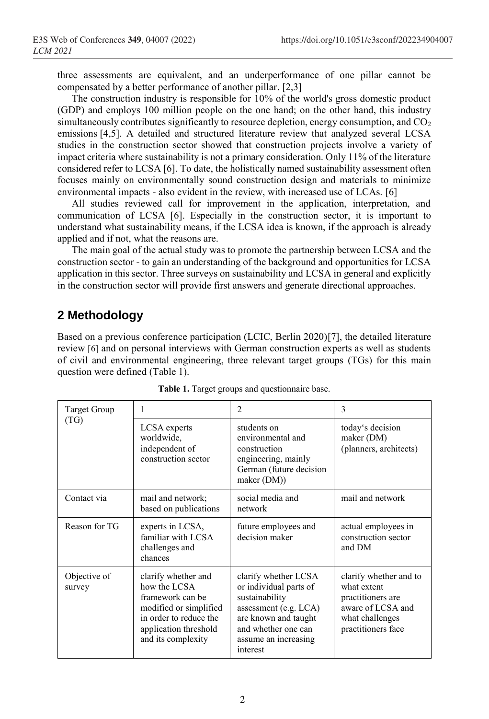three assessments are equivalent, and an underperformance of one pillar cannot be compensated by a better performance of another pillar. [2,3]

The construction industry is responsible for 10% of the world's gross domestic product (GDP) and employs 100 million people on the one hand; on the other hand, this industry simultaneously contributes significantly to resource depletion, energy consumption, and  $CO<sub>2</sub>$ emissions [4,5]. A detailed and structured literature review that analyzed several LCSA studies in the construction sector showed that construction projects involve a variety of impact criteria where sustainability is not a primary consideration. Only 11% of the literature considered refer to LCSA [6]. To date, the holistically named sustainability assessment often focuses mainly on environmentally sound construction design and materials to minimize environmental impacts - also evident in the review, with increased use of LCAs. [6]

All studies reviewed call for improvement in the application, interpretation, and communication of LCSA [6]. Especially in the construction sector, it is important to understand what sustainability means, if the LCSA idea is known, if the approach is already applied and if not, what the reasons are.

The main goal of the actual study was to promote the partnership between LCSA and the construction sector - to gain an understanding of the background and opportunities for LCSA application in this sector. Three surveys on sustainability and LCSA in general and explicitly in the construction sector will provide first answers and generate directional approaches.

## **2 Methodology**

Based on a previous conference participation (LCIC, Berlin 2020)[7], the detailed literature review [6] and on personal interviews with German construction experts as well as students of civil and environmental engineering, three relevant target groups (TGs) for this main question were defined (Table 1).

| Target Group<br>(TG)   |                                                                                                                                                            | $\overline{2}$                                                                                                                                                                  | 3                                                                                                                        |
|------------------------|------------------------------------------------------------------------------------------------------------------------------------------------------------|---------------------------------------------------------------------------------------------------------------------------------------------------------------------------------|--------------------------------------------------------------------------------------------------------------------------|
|                        | LCSA experts<br>worldwide,<br>independent of<br>construction sector                                                                                        | students on<br>environmental and<br>construction<br>engineering, mainly<br>German (future decision<br>maker (DM))                                                               | today's decision<br>maker (DM)<br>(planners, architects)                                                                 |
| Contact via            | mail and network;<br>based on publications                                                                                                                 | social media and<br>network                                                                                                                                                     | mail and network                                                                                                         |
| Reason for TG          | experts in LCSA,<br>familiar with LCSA<br>challenges and<br>chances                                                                                        | future employees and<br>decision maker                                                                                                                                          | actual employees in<br>construction sector<br>and DM                                                                     |
| Objective of<br>survey | clarify whether and<br>how the LCSA<br>framework can be<br>modified or simplified<br>in order to reduce the<br>application threshold<br>and its complexity | clarify whether LCSA<br>or individual parts of<br>sustainability<br>assessment (e.g. $LCA$ )<br>are known and taught<br>and whether one can<br>assume an increasing<br>interest | clarify whether and to<br>what extent<br>practitioners are<br>aware of LCSA and<br>what challenges<br>practitioners face |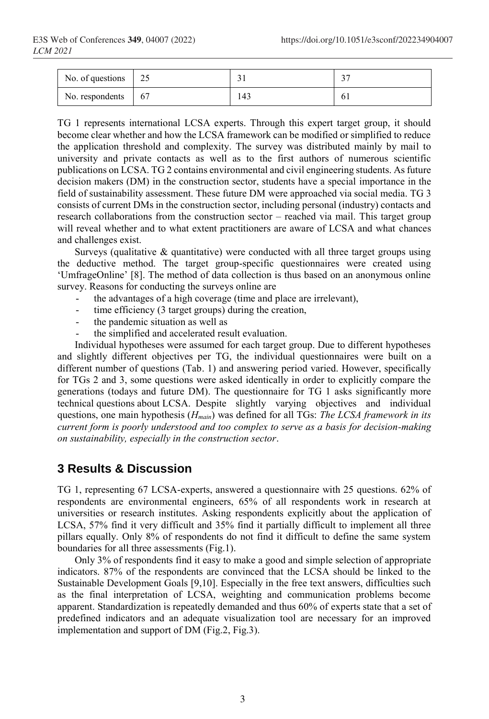| No. of questions $\vert$ 25 |      |     |  |
|-----------------------------|------|-----|--|
| No. respondents             | - 67 | 143 |  |

TG 1 represents international LCSA experts. Through this expert target group, it should become clear whether and how the LCSA framework can be modified or simplified to reduce the application threshold and complexity. The survey was distributed mainly by mail to university and private contacts as well as to the first authors of numerous scientific publications on LCSA. TG 2 contains environmental and civil engineering students. As future decision makers (DM) in the construction sector, students have a special importance in the field of sustainability assessment. These future DM were approached via social media. TG 3 consists of current DMs in the construction sector, including personal (industry) contacts and research collaborations from the construction sector – reached via mail. This target group will reveal whether and to what extent practitioners are aware of LCSA and what chances and challenges exist.

Surveys (qualitative  $\&$  quantitative) were conducted with all three target groups using the deductive method. The target group-specific questionnaires were created using 'UmfrageOnline' [8]. The method of data collection is thus based on an anonymous online survey. Reasons for conducting the surveys online are

- the advantages of a high coverage (time and place are irrelevant),
- time efficiency (3 target groups) during the creation,
- the pandemic situation as well as
- the simplified and accelerated result evaluation.

Individual hypotheses were assumed for each target group. Due to different hypotheses and slightly different objectives per TG, the individual questionnaires were built on a different number of questions (Tab. 1) and answering period varied. However, specifically for TGs 2 and 3, some questions were asked identically in order to explicitly compare the generations (todays and future DM). The questionnaire for TG 1 asks significantly more technical questions about LCSA. Despite slightly varying objectives and individual questions, one main hypothesis (*Hmain*) was defined for all TGs: *The LCSA framework in its current form is poorly understood and too complex to serve as a basis for decision-making on sustainability, especially in the construction sector*.

## **3 Results & Discussion**

TG 1, representing 67 LCSA-experts, answered a questionnaire with 25 questions. 62% of respondents are environmental engineers, 65% of all respondents work in research at universities or research institutes. Asking respondents explicitly about the application of LCSA, 57% find it very difficult and 35% find it partially difficult to implement all three pillars equally. Only 8% of respondents do not find it difficult to define the same system boundaries for all three assessments (Fig.1).

Only 3% of respondents find it easy to make a good and simple selection of appropriate indicators. 87% of the respondents are convinced that the LCSA should be linked to the Sustainable Development Goals [9,10]. Especially in the free text answers, difficulties such as the final interpretation of LCSA, weighting and communication problems become apparent. Standardization is repeatedly demanded and thus 60% of experts state that a set of predefined indicators and an adequate visualization tool are necessary for an improved implementation and support of DM (Fig.2, Fig.3).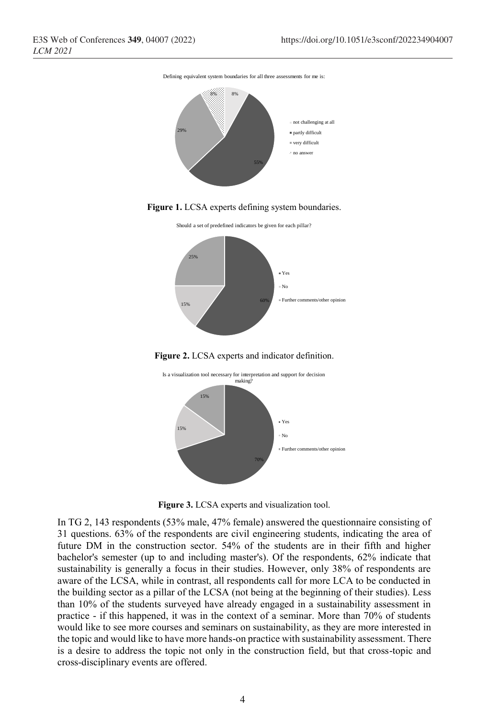Defining equivalent system boundaries for all three assessments for me is:











**Figure 3.** LCSA experts and visualization tool.

In TG 2, 143 respondents (53% male, 47% female) answered the questionnaire consisting of 31 questions. 63% of the respondents are civil engineering students, indicating the area of future DM in the construction sector. 54% of the students are in their fifth and higher bachelor's semester (up to and including master's). Of the respondents, 62% indicate that sustainability is generally a focus in their studies. However, only 38% of respondents are aware of the LCSA, while in contrast, all respondents call for more LCA to be conducted in the building sector as a pillar of the LCSA (not being at the beginning of their studies). Less than 10% of the students surveyed have already engaged in a sustainability assessment in practice - if this happened, it was in the context of a seminar. More than 70% of students would like to see more courses and seminars on sustainability, as they are more interested in the topic and would like to have more hands-on practice with sustainability assessment. There is a desire to address the topic not only in the construction field, but that cross-topic and cross-disciplinary events are offered.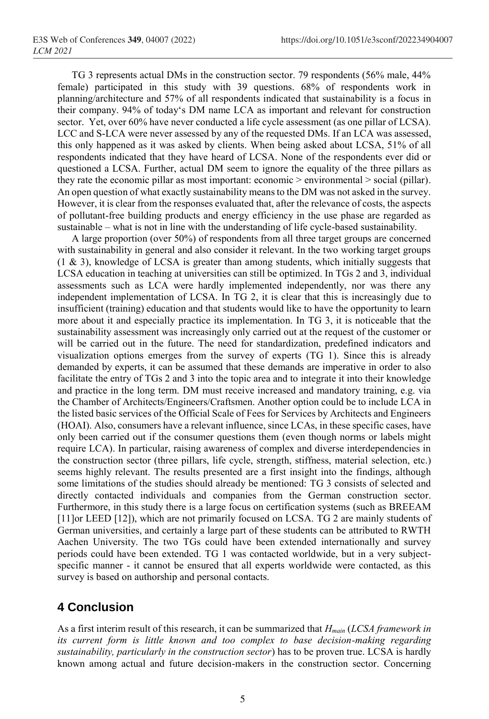TG 3 represents actual DMs in the construction sector. 79 respondents (56% male, 44% female) participated in this study with 39 questions. 68% of respondents work in planning/architecture and 57% of all respondents indicated that sustainability is a focus in their company. 94% of today's DM name LCA as important and relevant for construction sector. Yet, over 60% have never conducted a life cycle assessment (as one pillar of LCSA). LCC and S-LCA were never assessed by any of the requested DMs. If an LCA was assessed, this only happened as it was asked by clients. When being asked about LCSA, 51% of all respondents indicated that they have heard of LCSA. None of the respondents ever did or questioned a LCSA. Further, actual DM seem to ignore the equality of the three pillars as they rate the economic pillar as most important: economic > environmental > social (pillar). An open question of what exactly sustainability means to the DM was not asked in the survey. However, it is clear from the responses evaluated that, after the relevance of costs, the aspects of pollutant-free building products and energy efficiency in the use phase are regarded as sustainable – what is not in line with the understanding of life cycle-based sustainability.

A large proportion (over 50%) of respondents from all three target groups are concerned with sustainability in general and also consider it relevant. In the two working target groups (1 & 3), knowledge of LCSA is greater than among students, which initially suggests that LCSA education in teaching at universities can still be optimized. In TGs 2 and 3, individual assessments such as LCA were hardly implemented independently, nor was there any independent implementation of LCSA. In TG 2, it is clear that this is increasingly due to insufficient (training) education and that students would like to have the opportunity to learn more about it and especially practice its implementation. In TG 3, it is noticeable that the sustainability assessment was increasingly only carried out at the request of the customer or will be carried out in the future. The need for standardization, predefined indicators and visualization options emerges from the survey of experts (TG 1). Since this is already demanded by experts, it can be assumed that these demands are imperative in order to also facilitate the entry of TGs 2 and 3 into the topic area and to integrate it into their knowledge and practice in the long term. DM must receive increased and mandatory training, e.g. via the Chamber of Architects/Engineers/Craftsmen. Another option could be to include LCA in the listed basic services of the Official Scale of Fees for Services by Architects and Engineers (HOAI). Also, consumers have a relevant influence, since LCAs, in these specific cases, have only been carried out if the consumer questions them (even though norms or labels might require LCA). In particular, raising awareness of complex and diverse interdependencies in the construction sector (three pillars, life cycle, strength, stiffness, material selection, etc.) seems highly relevant. The results presented are a first insight into the findings, although some limitations of the studies should already be mentioned: TG 3 consists of selected and directly contacted individuals and companies from the German construction sector. Furthermore, in this study there is a large focus on certification systems (such as BREEAM [11] or LEED [12]), which are not primarily focused on LCSA. TG 2 are mainly students of German universities, and certainly a large part of these students can be attributed to RWTH Aachen University. The two TGs could have been extended internationally and survey periods could have been extended. TG 1 was contacted worldwide, but in a very subjectspecific manner - it cannot be ensured that all experts worldwide were contacted, as this survey is based on authorship and personal contacts.

# **4 Conclusion**

As a first interim result of this research, it can be summarized that *Hmain* (*LCSA framework in its current form is little known and too complex to base decision-making regarding sustainability, particularly in the construction sector*) has to be proven true. LCSA is hardly known among actual and future decision-makers in the construction sector. Concerning